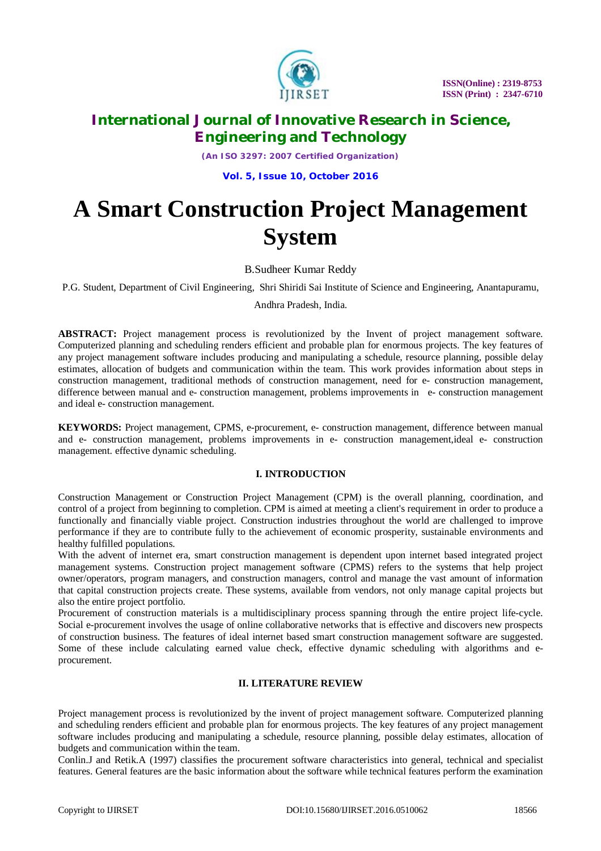

*(An ISO 3297: 2007 Certified Organization)*

**Vol. 5, Issue 10, October 2016**

# **A Smart Construction Project Management System**

B.Sudheer Kumar Reddy

P.G. Student, Department of Civil Engineering, Shri Shiridi Sai Institute of Science and Engineering, Anantapuramu,

Andhra Pradesh, India.

**ABSTRACT:** Project management process is revolutionized by the Invent of project management software. Computerized planning and scheduling renders efficient and probable plan for enormous projects. The key features of any project management software includes producing and manipulating a schedule, resource planning, possible delay estimates, allocation of budgets and communication within the team. This work provides information about steps in construction management, traditional methods of construction management, need for e- construction management, difference between manual and e- construction management, problems improvements in e- construction management and ideal e- construction management.

**KEYWORDS:** Project management, CPMS, e-procurement, e- construction management, difference between manual and e- construction management, problems improvements in e- construction management,ideal e- construction management. effective dynamic scheduling.

### **I. INTRODUCTION**

Construction Management or Construction Project Management (CPM) is the overall planning, coordination, and control of a project from beginning to completion. CPM is aimed at meeting a client's requirement in order to produce a functionally and financially viable project. Construction industries throughout the world are challenged to improve performance if they are to contribute fully to the achievement of economic prosperity, sustainable environments and healthy fulfilled populations.

With the advent of internet era, smart construction management is dependent upon internet based integrated project management systems. Construction project management software (CPMS) refers to the systems that help project owner/operators, program managers, and construction managers, control and manage the vast amount of information that capital construction projects create. These systems, available from vendors, not only manage capital projects but also the entire project portfolio.

Procurement of construction materials is a multidisciplinary process spanning through the entire project life-cycle. Social e-procurement involves the usage of online collaborative networks that is effective and discovers new prospects of construction business. The features of ideal internet based smart construction management software are suggested. Some of these include calculating earned value check, effective dynamic scheduling with algorithms and eprocurement.

### **II. LITERATURE REVIEW**

Project management process is revolutionized by the invent of project management software. Computerized planning and scheduling renders efficient and probable plan for enormous projects. The key features of any project management software includes producing and manipulating a schedule, resource planning, possible delay estimates, allocation of budgets and communication within the team.

Conlin.J and Retik.A (1997) classifies the procurement software characteristics into general, technical and specialist features. General features are the basic information about the software while technical features perform the examination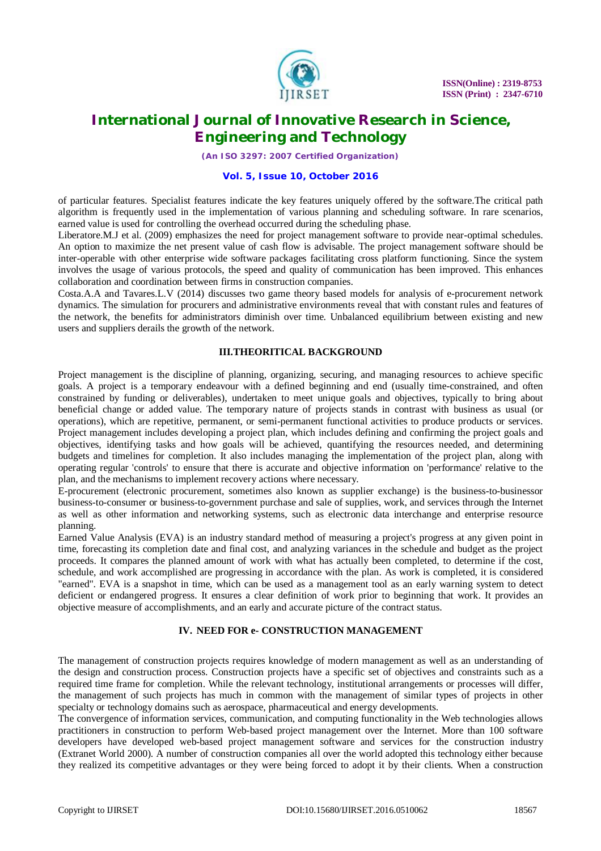

*(An ISO 3297: 2007 Certified Organization)*

### **Vol. 5, Issue 10, October 2016**

of particular features. Specialist features indicate the key features uniquely offered by the software.The critical path algorithm is frequently used in the implementation of various planning and scheduling software. In rare scenarios, earned value is used for controlling the overhead occurred during the scheduling phase.

Liberatore.M.J et al. (2009) emphasizes the need for project management software to provide near-optimal schedules. An option to maximize the net present value of cash flow is advisable. The project management software should be inter-operable with other enterprise wide software packages facilitating cross platform functioning. Since the system involves the usage of various protocols, the speed and quality of communication has been improved. This enhances collaboration and coordination between firms in construction companies.

Costa.A.A and Tavares.L.V (2014) discusses two game theory based models for analysis of e-procurement network dynamics. The simulation for procurers and administrative environments reveal that with constant rules and features of the network, the benefits for administrators diminish over time. Unbalanced equilibrium between existing and new users and suppliers derails the growth of the network.

### **III.THEORITICAL BACKGROUND**

Project management is the discipline of planning, organizing, securing, and managing resources to achieve specific goals. A project is a temporary endeavour with a defined beginning and end (usually time-constrained, and often constrained by funding or deliverables), undertaken to meet unique goals and objectives, typically to bring about beneficial change or added value. The temporary nature of projects stands in contrast with business as usual (or operations), which are repetitive, permanent, or semi-permanent functional activities to produce products or services. Project management includes developing a project plan, which includes defining and confirming the project goals and objectives, identifying tasks and how goals will be achieved, quantifying the resources needed, and determining budgets and timelines for completion. It also includes managing the implementation of the project plan, along with operating regular 'controls' to ensure that there is accurate and objective information on 'performance' relative to the plan, and the mechanisms to implement recovery actions where necessary.

E-procurement (electronic procurement, sometimes also known as supplier exchange) is the business-to-businessor business-to-consumer or business-to-government purchase and sale of supplies, work, and services through the Internet as well as other information and networking systems, such as electronic data interchange and enterprise resource planning.

Earned Value Analysis (EVA) is an industry standard method of measuring a project's progress at any given point in time, forecasting its completion date and final cost, and analyzing variances in the schedule and budget as the project proceeds. It compares the planned amount of work with what has actually been completed, to determine if the cost, schedule, and work accomplished are progressing in accordance with the plan. As work is completed, it is considered "earned". EVA is a snapshot in time, which can be used as a management tool as an early warning system to detect deficient or endangered progress. It ensures a clear definition of work prior to beginning that work. It provides an objective measure of accomplishments, and an early and accurate picture of the contract status.

### **IV. NEED FOR e- CONSTRUCTION MANAGEMENT**

The management of construction projects requires knowledge of modern management as well as an understanding of the design and construction process. Construction projects have a specific set of objectives and constraints such as a required time frame for completion. While the relevant technology, institutional arrangements or processes will differ, the management of such projects has much in common with the management of similar types of projects in other specialty or technology domains such as aerospace, pharmaceutical and energy developments.

The convergence of information services, communication, and computing functionality in the Web technologies allows practitioners in construction to perform Web-based project management over the Internet. More than 100 software developers have developed web-based project management software and services for the construction industry (Extranet World 2000). A number of construction companies all over the world adopted this technology either because they realized its competitive advantages or they were being forced to adopt it by their clients. When a construction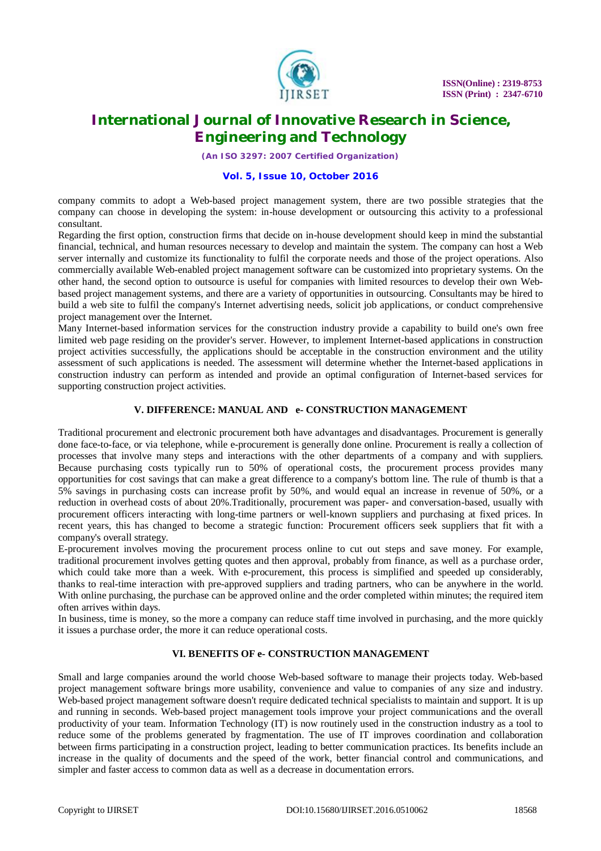

*(An ISO 3297: 2007 Certified Organization)*

### **Vol. 5, Issue 10, October 2016**

company commits to adopt a Web-based project management system, there are two possible strategies that the company can choose in developing the system: in-house development or outsourcing this activity to a professional consultant.

Regarding the first option, construction firms that decide on in-house development should keep in mind the substantial financial, technical, and human resources necessary to develop and maintain the system. The company can host a Web server internally and customize its functionality to fulfil the corporate needs and those of the project operations. Also commercially available Web-enabled project management software can be customized into proprietary systems. On the other hand, the second option to outsource is useful for companies with limited resources to develop their own Webbased project management systems, and there are a variety of opportunities in outsourcing. Consultants may be hired to build a web site to fulfil the company's Internet advertising needs, solicit job applications, or conduct comprehensive project management over the Internet.

Many Internet-based information services for the construction industry provide a capability to build one's own free limited web page residing on the provider's server. However, to implement Internet-based applications in construction project activities successfully, the applications should be acceptable in the construction environment and the utility assessment of such applications is needed. The assessment will determine whether the Internet-based applications in construction industry can perform as intended and provide an optimal configuration of Internet-based services for supporting construction project activities.

### **V. DIFFERENCE: MANUAL AND e- CONSTRUCTION MANAGEMENT**

Traditional procurement and electronic procurement both have advantages and disadvantages. Procurement is generally done face-to-face, or via telephone, while e-procurement is generally done online. Procurement is really a collection of processes that involve many steps and interactions with the other departments of a company and with suppliers. Because purchasing costs typically run to 50% of operational costs, the procurement process provides many opportunities for cost savings that can make a great difference to a company's bottom line. The rule of thumb is that a 5% savings in purchasing costs can increase profit by 50%, and would equal an increase in revenue of 50%, or a reduction in overhead costs of about 20%.Traditionally, procurement was paper- and conversation-based, usually with procurement officers interacting with long-time partners or well-known suppliers and purchasing at fixed prices. In recent years, this has changed to become a strategic function: Procurement officers seek suppliers that fit with a company's overall strategy.

E-procurement involves moving the procurement process online to cut out steps and save money. For example, traditional procurement involves getting quotes and then approval, probably from finance, as well as a purchase order, which could take more than a week. With e-procurement, this process is simplified and speeded up considerably, thanks to real-time interaction with pre-approved suppliers and trading partners, who can be anywhere in the world. With online purchasing, the purchase can be approved online and the order completed within minutes; the required item often arrives within days.

In business, time is money, so the more a company can reduce staff time involved in purchasing, and the more quickly it issues a purchase order, the more it can reduce operational costs.

### **VI. BENEFITS OF e- CONSTRUCTION MANAGEMENT**

Small and large companies around the world choose Web-based software to manage their projects today. Web-based project management software brings more usability, convenience and value to companies of any size and industry. Web-based project management software doesn't require dedicated technical specialists to maintain and support. It is up and running in seconds. Web-based project management tools improve your project communications and the overall productivity of your team. Information Technology (IT) is now routinely used in the construction industry as a tool to reduce some of the problems generated by fragmentation. The use of IT improves coordination and collaboration between firms participating in a construction project, leading to better communication practices. Its benefits include an increase in the quality of documents and the speed of the work, better financial control and communications, and simpler and faster access to common data as well as a decrease in documentation errors.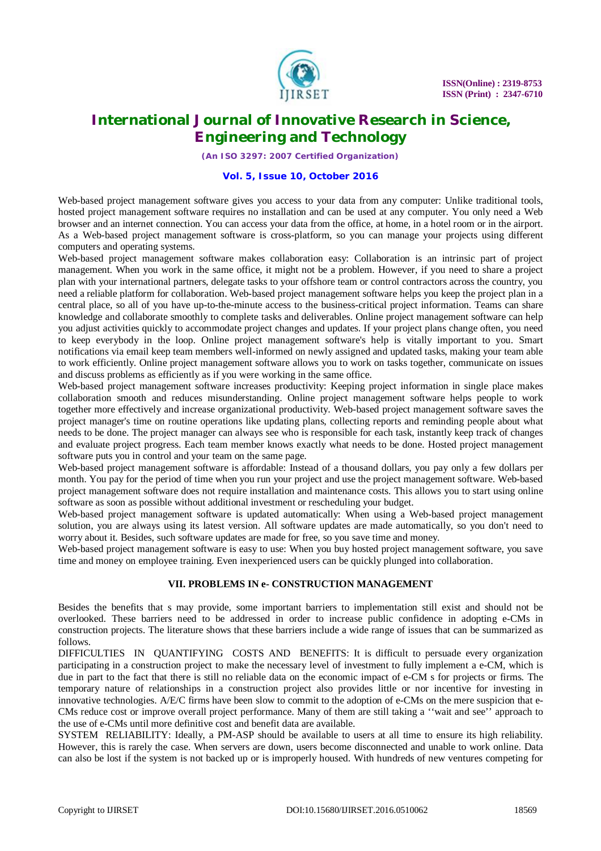

*(An ISO 3297: 2007 Certified Organization)*

#### **Vol. 5, Issue 10, October 2016**

Web-based project management software gives you access to your data from any computer: Unlike traditional tools, hosted project management software requires no installation and can be used at any computer. You only need a Web browser and an internet connection. You can access your data from the office, at home, in a hotel room or in the airport. As a Web-based project management software is cross-platform, so you can manage your projects using different computers and operating systems.

Web-based project management software makes collaboration easy: Collaboration is an intrinsic part of project management. When you work in the same office, it might not be a problem. However, if you need to share a project plan with your international partners, delegate tasks to your offshore team or control contractors across the country, you need a reliable platform for collaboration. Web-based project management software helps you keep the project plan in a central place, so all of you have up-to-the-minute access to the business-critical project information. Teams can share knowledge and collaborate smoothly to complete tasks and deliverables. Online project management software can help you adjust activities quickly to accommodate project changes and updates. If your project plans change often, you need to keep everybody in the loop. Online project management software's help is vitally important to you. Smart notifications via email keep team members well-informed on newly assigned and updated tasks, making your team able to work efficiently. Online project management software allows you to work on tasks together, communicate on issues and discuss problems as efficiently as if you were working in the same office.

Web-based project management software increases productivity: Keeping project information in single place makes collaboration smooth and reduces misunderstanding. Online project management software helps people to work together more effectively and increase organizational productivity. Web-based project management software saves the project manager's time on routine operations like updating plans, collecting reports and reminding people about what needs to be done. The project manager can always see who is responsible for each task, instantly keep track of changes and evaluate project progress. Each team member knows exactly what needs to be done. Hosted project management software puts you in control and your team on the same page.

Web-based project management software is affordable: Instead of a thousand dollars, you pay only a few dollars per month. You pay for the period of time when you run your project and use the project management software. Web-based project management software does not require installation and maintenance costs. This allows you to start using online software as soon as possible without additional investment or rescheduling your budget.

Web-based project management software is updated automatically: When using a Web-based project management solution, you are always using its latest version. All software updates are made automatically, so you don't need to worry about it. Besides, such software updates are made for free, so you save time and money.

Web-based project management software is easy to use: When you buy hosted project management software, you save time and money on employee training. Even inexperienced users can be quickly plunged into collaboration.

### **VII. PROBLEMS IN e- CONSTRUCTION MANAGEMENT**

Besides the benefits that s may provide, some important barriers to implementation still exist and should not be overlooked. These barriers need to be addressed in order to increase public confidence in adopting e-CMs in construction projects. The literature shows that these barriers include a wide range of issues that can be summarized as follows.

DIFFICULTIES IN QUANTIFYING COSTS AND BENEFITS: It is difficult to persuade every organization participating in a construction project to make the necessary level of investment to fully implement a e-CM, which is due in part to the fact that there is still no reliable data on the economic impact of e-CM s for projects or firms. The temporary nature of relationships in a construction project also provides little or nor incentive for investing in innovative technologies. A/E/C firms have been slow to commit to the adoption of e-CMs on the mere suspicion that e-CMs reduce cost or improve overall project performance. Many of them are still taking a ''wait and see'' approach to the use of e-CMs until more definitive cost and benefit data are available.

SYSTEM RELIABILITY: Ideally, a PM-ASP should be available to users at all time to ensure its high reliability. However, this is rarely the case. When servers are down, users become disconnected and unable to work online. Data can also be lost if the system is not backed up or is improperly housed. With hundreds of new ventures competing for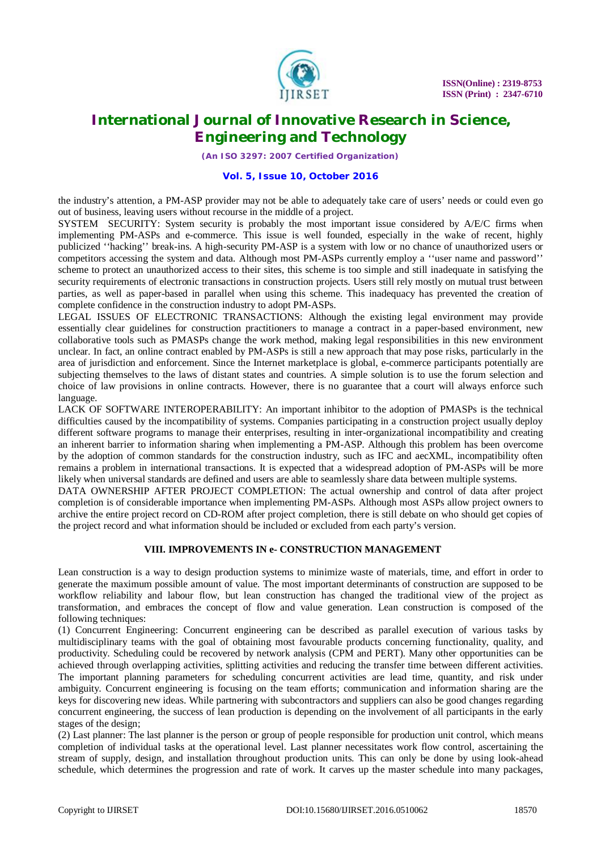

*(An ISO 3297: 2007 Certified Organization)*

### **Vol. 5, Issue 10, October 2016**

the industry's attention, a PM-ASP provider may not be able to adequately take care of users' needs or could even go out of business, leaving users without recourse in the middle of a project.

SYSTEM SECURITY: System security is probably the most important issue considered by A/E/C firms when implementing PM-ASPs and e-commerce. This issue is well founded, especially in the wake of recent, highly publicized ''hacking'' break-ins. A high-security PM-ASP is a system with low or no chance of unauthorized users or competitors accessing the system and data. Although most PM-ASPs currently employ a ''user name and password'' scheme to protect an unauthorized access to their sites, this scheme is too simple and still inadequate in satisfying the security requirements of electronic transactions in construction projects. Users still rely mostly on mutual trust between parties, as well as paper-based in parallel when using this scheme. This inadequacy has prevented the creation of complete confidence in the construction industry to adopt PM-ASPs.

LEGAL ISSUES OF ELECTRONIC TRANSACTIONS: Although the existing legal environment may provide essentially clear guidelines for construction practitioners to manage a contract in a paper-based environment, new collaborative tools such as PMASPs change the work method, making legal responsibilities in this new environment unclear. In fact, an online contract enabled by PM-ASPs is still a new approach that may pose risks, particularly in the area of jurisdiction and enforcement. Since the Internet marketplace is global, e-commerce participants potentially are subjecting themselves to the laws of distant states and countries. A simple solution is to use the forum selection and choice of law provisions in online contracts. However, there is no guarantee that a court will always enforce such language.

LACK OF SOFTWARE INTEROPERABILITY: An important inhibitor to the adoption of PMASPs is the technical difficulties caused by the incompatibility of systems. Companies participating in a construction project usually deploy different software programs to manage their enterprises, resulting in inter-organizational incompatibility and creating an inherent barrier to information sharing when implementing a PM-ASP. Although this problem has been overcome by the adoption of common standards for the construction industry, such as IFC and aecXML, incompatibility often remains a problem in international transactions. It is expected that a widespread adoption of PM-ASPs will be more likely when universal standards are defined and users are able to seamlessly share data between multiple systems.

DATA OWNERSHIP AFTER PROJECT COMPLETION: The actual ownership and control of data after project completion is of considerable importance when implementing PM-ASPs. Although most ASPs allow project owners to archive the entire project record on CD-ROM after project completion, there is still debate on who should get copies of the project record and what information should be included or excluded from each party's version.

### **VIII. IMPROVEMENTS IN e- CONSTRUCTION MANAGEMENT**

Lean construction is a way to design production systems to minimize waste of materials, time, and effort in order to generate the maximum possible amount of value. The most important determinants of construction are supposed to be workflow reliability and labour flow, but lean construction has changed the traditional view of the project as transformation, and embraces the concept of flow and value generation. Lean construction is composed of the following techniques:

(1) Concurrent Engineering: Concurrent engineering can be described as parallel execution of various tasks by multidisciplinary teams with the goal of obtaining most favourable products concerning functionality, quality, and productivity. Scheduling could be recovered by network analysis (CPM and PERT). Many other opportunities can be achieved through overlapping activities, splitting activities and reducing the transfer time between different activities. The important planning parameters for scheduling concurrent activities are lead time, quantity, and risk under ambiguity. Concurrent engineering is focusing on the team efforts; communication and information sharing are the keys for discovering new ideas. While partnering with subcontractors and suppliers can also be good changes regarding concurrent engineering, the success of lean production is depending on the involvement of all participants in the early stages of the design;

(2) Last planner: The last planner is the person or group of people responsible for production unit control, which means completion of individual tasks at the operational level. Last planner necessitates work flow control, ascertaining the stream of supply, design, and installation throughout production units. This can only be done by using look-ahead schedule, which determines the progression and rate of work. It carves up the master schedule into many packages,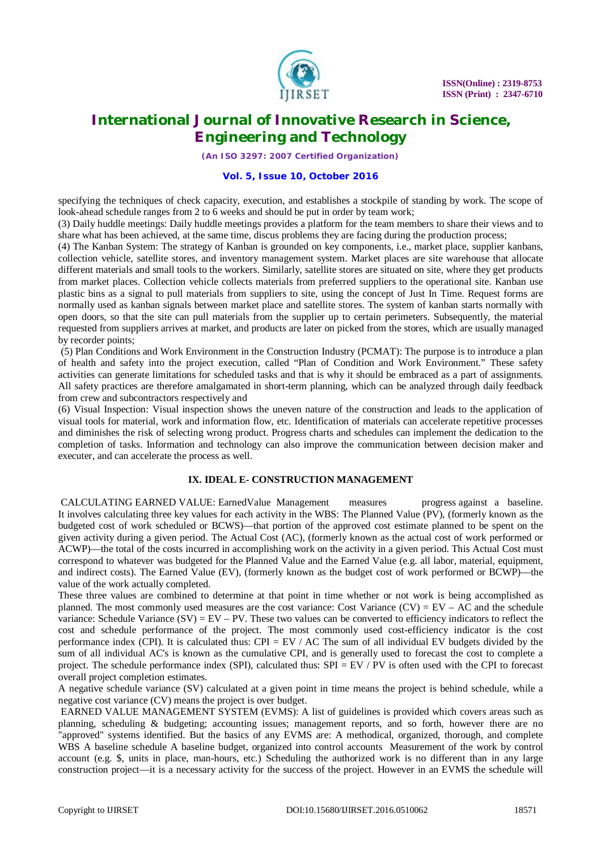

*(An ISO 3297: 2007 Certified Organization)*

#### **Vol. 5, Issue 10, October 2016**

specifying the techniques of check capacity, execution, and establishes a stockpile of standing by work. The scope of look-ahead schedule ranges from 2 to 6 weeks and should be put in order by team work;

(3) Daily huddle meetings: Daily huddle meetings provides a platform for the team members to share their views and to share what has been achieved, at the same time, discus problems they are facing during the production process;

(4) The Kanban System: The strategy of Kanban is grounded on key components, i.e., market place, supplier kanbans, collection vehicle, satellite stores, and inventory management system. Market places are site warehouse that allocate different materials and small tools to the workers. Similarly, satellite stores are situated on site, where they get products from market places. Collection vehicle collects materials from preferred suppliers to the operational site. Kanban use plastic bins as a signal to pull materials from suppliers to site, using the concept of Just In Time. Request forms are normally used as kanban signals between market place and satellite stores. The system of kanban starts normally with open doors, so that the site can pull materials from the supplier up to certain perimeters. Subsequently, the material requested from suppliers arrives at market, and products are later on picked from the stores, which are usually managed by recorder points;

(5) Plan Conditions and Work Environment in the Construction Industry (PCMAT): The purpose is to introduce a plan of health and safety into the project execution, called "Plan of Condition and Work Environment." These safety activities can generate limitations for scheduled tasks and that is why it should be embraced as a part of assignments. All safety practices are therefore amalgamated in short-term planning, which can be analyzed through daily feedback from crew and subcontractors respectively and

(6) Visual Inspection: Visual inspection shows the uneven nature of the construction and leads to the application of visual tools for material, work and information flow, etc. Identification of materials can accelerate repetitive processes and diminishes the risk of selecting wrong product. Progress charts and schedules can implement the dedication to the completion of tasks. Information and technology can also improve the communication between decision maker and executer, and can accelerate the process as well.

### **IX. IDEAL E- CONSTRUCTION MANAGEMENT**

CALCULATING EARNED VALUE: Earned Value Management measures progress against a baseline. It involves calculating three key values for each activity in the WBS: The Planned Value (PV), (formerly known as the budgeted cost of work scheduled or BCWS)—that portion of the approved cost estimate planned to be spent on the given activity during a given period. The Actual Cost (AC), (formerly known as the actual cost of work performed or ACWP)—the total of the costs incurred in accomplishing work on the activity in a given period. This Actual Cost must correspond to whatever was budgeted for the Planned Value and the Earned Value (e.g. all labor, material, equipment, and indirect costs). The Earned Value (EV), (formerly known as the budget cost of work performed or BCWP)—the value of the work actually completed.

These three values are combined to determine at that point in time whether or not work is being accomplished as planned. The most commonly used measures are the cost variance: Cost Variance  $(CV) = EV - AC$  and the schedule variance: Schedule Variance  $(SV) = EV - PV$ . These two values can be converted to efficiency indicators to reflect the cost and schedule performance of the project. The most commonly used cost-efficiency indicator is the cost performance index (CPI). It is calculated thus: CPI =  $EV / AC$  The sum of all individual EV budgets divided by the sum of all individual AC's is known as the cumulative CPI, and is generally used to forecast the cost to complete a project. The schedule performance index (SPI), calculated thus:  $SPI = EV / PV$  is often used with the CPI to forecast overall project completion estimates.

A negative schedule variance (SV) calculated at a given point in time means the project is behind schedule, while a negative cost variance (CV) means the project is over budget.

EARNED VALUE MANAGEMENT SYSTEM (EVMS): A list of guidelines is provided which covers areas such as planning, scheduling & budgeting; accounting issues; management reports, and so forth, however there are no "approved" systems identified. But the basics of any EVMS are: A methodical, organized, thorough, and complete WBS A baseline schedule A baseline budget, organized into control accounts Measurement of the work by control account (e.g. \$, units in place, man-hours, etc.) Scheduling the authorized work is no different than in any large construction project—it is a necessary activity for the success of the project. However in an EVMS the schedule will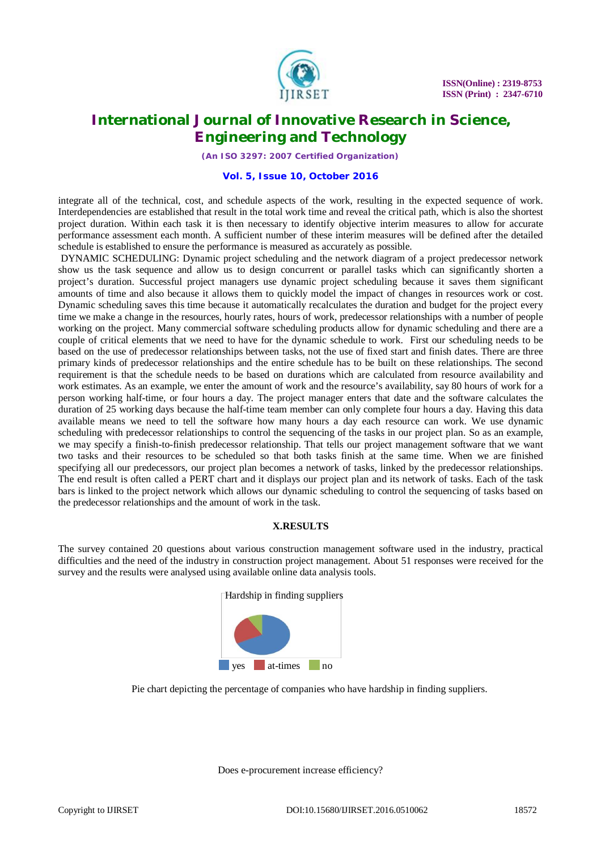

*(An ISO 3297: 2007 Certified Organization)*

#### **Vol. 5, Issue 10, October 2016**

integrate all of the technical, cost, and schedule aspects of the work, resulting in the expected sequence of work. Interdependencies are established that result in the total work time and reveal the critical path, which is also the shortest project duration. Within each task it is then necessary to identify objective interim measures to allow for accurate performance assessment each month. A sufficient number of these interim measures will be defined after the detailed schedule is established to ensure the performance is measured as accurately as possible.

DYNAMIC SCHEDULING: Dynamic project scheduling and the network diagram of a project predecessor network show us the task sequence and allow us to design concurrent or parallel tasks which can significantly shorten a project's duration. Successful project managers use dynamic project scheduling because it saves them significant amounts of time and also because it allows them to quickly model the impact of changes in resources work or cost. Dynamic scheduling saves this time because it automatically recalculates the duration and budget for the project every time we make a change in the resources, hourly rates, hours of work, predecessor relationships with a number of people working on the project. Many commercial software scheduling products allow for dynamic scheduling and there are a couple of critical elements that we need to have for the dynamic schedule to work. First our scheduling needs to be based on the use of predecessor relationships between tasks, not the use of fixed start and finish dates. There are three primary kinds of predecessor relationships and the entire schedule has to be built on these relationships. The second requirement is that the schedule needs to be based on durations which are calculated from resource availability and work estimates. As an example, we enter the amount of work and the resource's availability, say 80 hours of work for a person working half-time, or four hours a day. The project manager enters that date and the software calculates the duration of 25 working days because the half-time team member can only complete four hours a day. Having this data available means we need to tell the software how many hours a day each resource can work. We use dynamic scheduling with predecessor relationships to control the sequencing of the tasks in our project plan. So as an example, we may specify a finish-to-finish predecessor relationship. That tells our project management software that we want two tasks and their resources to be scheduled so that both tasks finish at the same time. When we are finished specifying all our predecessors, our project plan becomes a network of tasks, linked by the predecessor relationships. The end result is often called a PERT chart and it displays our project plan and its network of tasks. Each of the task bars is linked to the project network which allows our dynamic scheduling to control the sequencing of tasks based on the predecessor relationships and the amount of work in the task.

#### **X.RESULTS**

The survey contained 20 questions about various construction management software used in the industry, practical difficulties and the need of the industry in construction project management. About 51 responses were received for the survey and the results were analysed using available online data analysis tools.



Pie chart depicting the percentage of companies who have hardship in finding suppliers.

Does e-procurement increase efficiency?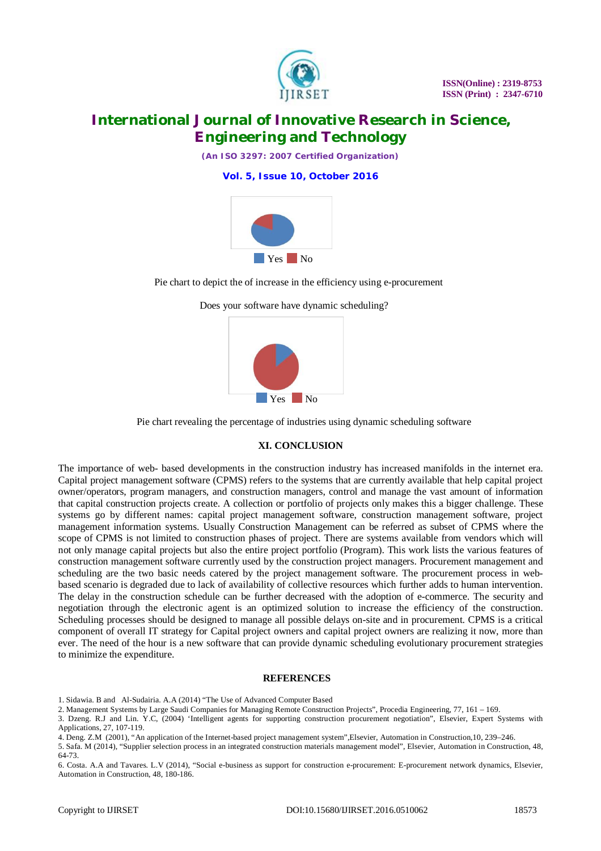

*(An ISO 3297: 2007 Certified Organization)*

**Vol. 5, Issue 10, October 2016**



Pie chart to depict the of increase in the efficiency using e-procurement

Does your software have dynamic scheduling?



Pie chart revealing the percentage of industries using dynamic scheduling software

### **XI. CONCLUSION**

The importance of web- based developments in the construction industry has increased manifolds in the internet era. Capital project management software (CPMS) refers to the systems that are currently available that help capital project owner/operators, program managers, and construction managers, control and manage the vast amount of information that capital construction projects create. A collection or portfolio of projects only makes this a bigger challenge. These systems go by different names: capital project management software, construction management software, project management information systems. Usually Construction Management can be referred as subset of CPMS where the scope of CPMS is not limited to construction phases of project. There are systems available from vendors which will not only manage capital projects but also the entire project portfolio (Program). This work lists the various features of construction management software currently used by the construction project managers. Procurement management and scheduling are the two basic needs catered by the project management software. The procurement process in webbased scenario is degraded due to lack of availability of collective resources which further adds to human intervention. The delay in the construction schedule can be further decreased with the adoption of e-commerce. The security and negotiation through the electronic agent is an optimized solution to increase the efficiency of the construction. Scheduling processes should be designed to manage all possible delays on-site and in procurement. CPMS is a critical component of overall IT strategy for Capital project owners and capital project owners are realizing it now, more than ever. The need of the hour is a new software that can provide dynamic scheduling evolutionary procurement strategies to minimize the expenditure.

#### **REFERENCES**

1. Sidawia. B and Al-Sudairia. A.A (2014) "The Use of Advanced Computer Based

2. Management Systems by Large Saudi Companies for Managing Remote Construction Projects", Procedia Engineering, 77, 161 – 169.

3. Dzeng. R.J and Lin. Y.C, (2004) 'Intelligent agents for supporting construction procurement negotiation", Elsevier, Expert Systems with Applications, 27, 107-119.

4. Deng. Z.M (2001), "An application of the Internet-based project management system",Elsevier, Automation in Construction,10, 239–246.

5. Safa. M (2014), "Supplier selection process in an integrated construction materials management model", Elsevier, Automation in Construction, 48, 64-73.

6. Costa. A.A and Tavares. L.V (2014), "Social e-business as support for construction e-procurement: E-procurement network dynamics, Elsevier, Automation in Construction, 48, 180-186.